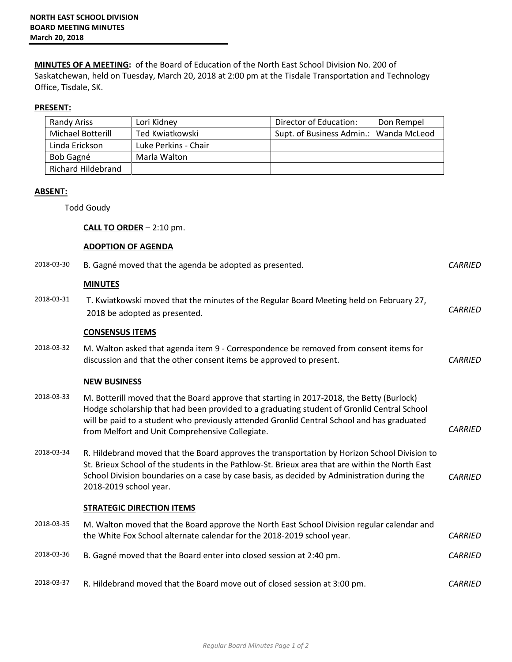**MINUTES OF A MEETING:** of the Board of Education of the North East School Division No. 200 of Saskatchewan, held on Tuesday, March 20, 2018 at 2:00 pm at the Tisdale Transportation and Technology Office, Tisdale, SK.

## **PRESENT:**

| Randy Ariss        | Lori Kidney          | Director of Education:                 | Don Rempel |
|--------------------|----------------------|----------------------------------------|------------|
| Michael Botterill  | Ted Kwiatkowski      | Supt. of Business Admin.: Wanda McLeod |            |
| Linda Erickson     | Luke Perkins - Chair |                                        |            |
| Bob Gagné          | Marla Walton         |                                        |            |
| Richard Hildebrand |                      |                                        |            |

## **ABSENT:**

Todd Goudy

**CALL TO ORDER** – 2:10 pm.

## **ADOPTION OF AGENDA**

| 2018-03-30 | B. Gagné moved that the agenda be adopted as presented.                                                                                                                                                                                                                                                                                  | <b>CARRIED</b> |
|------------|------------------------------------------------------------------------------------------------------------------------------------------------------------------------------------------------------------------------------------------------------------------------------------------------------------------------------------------|----------------|
|            | <b>MINUTES</b>                                                                                                                                                                                                                                                                                                                           |                |
| 2018-03-31 | T. Kwiatkowski moved that the minutes of the Regular Board Meeting held on February 27,<br>2018 be adopted as presented.                                                                                                                                                                                                                 | <b>CARRIED</b> |
|            | <b>CONSENSUS ITEMS</b>                                                                                                                                                                                                                                                                                                                   |                |
| 2018-03-32 | M. Walton asked that agenda item 9 - Correspondence be removed from consent items for<br>discussion and that the other consent items be approved to present.                                                                                                                                                                             | <b>CARRIED</b> |
|            | <b>NEW BUSINESS</b>                                                                                                                                                                                                                                                                                                                      |                |
| 2018-03-33 | M. Botterill moved that the Board approve that starting in 2017-2018, the Betty (Burlock)<br>Hodge scholarship that had been provided to a graduating student of Gronlid Central School<br>will be paid to a student who previously attended Gronlid Central School and has graduated<br>from Melfort and Unit Comprehensive Collegiate. | <b>CARRIED</b> |
| 2018-03-34 | R. Hildebrand moved that the Board approves the transportation by Horizon School Division to<br>St. Brieux School of the students in the Pathlow-St. Brieux area that are within the North East<br>School Division boundaries on a case by case basis, as decided by Administration during the<br>2018-2019 school year.                 | <b>CARRIED</b> |
|            | <b>STRATEGIC DIRECTION ITEMS</b>                                                                                                                                                                                                                                                                                                         |                |
| 2018-03-35 | M. Walton moved that the Board approve the North East School Division regular calendar and<br>the White Fox School alternate calendar for the 2018-2019 school year.                                                                                                                                                                     | <b>CARRIED</b> |
| 2018-03-36 | B. Gagné moved that the Board enter into closed session at 2:40 pm.                                                                                                                                                                                                                                                                      | <b>CARRIED</b> |
| 2018-03-37 | R. Hildebrand moved that the Board move out of closed session at 3:00 pm.                                                                                                                                                                                                                                                                | <b>CARRIED</b> |